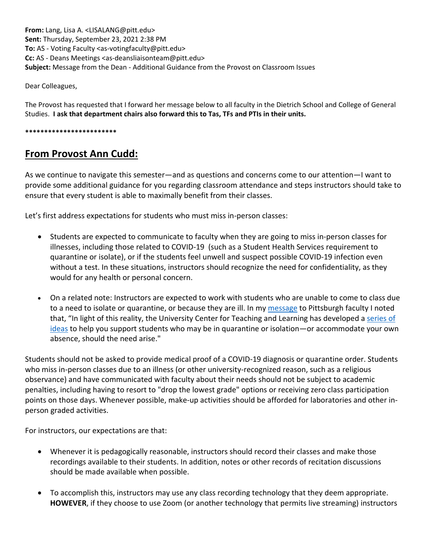**From:** Lang, Lisa A. <LISALANG@pitt.edu> **Sent:** Thursday, September 23, 2021 2:38 PM **To:** AS - Voting Faculty <as-votingfaculty@pitt.edu> **Cc:** AS - Deans Meetings <as-deansliaisonteam@pitt.edu> **Subject:** Message from the Dean - Additional Guidance from the Provost on Classroom Issues

Dear Colleagues,

The Provost has requested that I forward her message below to all faculty in the Dietrich School and College of General Studies. **I ask that department chairs also forward this to Tas, TFs and PTIs in their units.**

**\*\*\*\*\*\*\*\*\*\*\*\*\*\*\*\*\*\*\*\*\*\*\*\***

## **From Provost Ann Cudd:**

As we continue to navigate this semester—and as questions and concerns come to our attention—I want to provide some additional guidance for you regarding classroom attendance and steps instructors should take to ensure that every student is able to maximally benefit from their classes.

Let's first address expectations for students who must miss in-person classes:

- Students are expected to communicate to faculty when they are going to miss in-person classes for illnesses, including those related to COVID-19 (such as a Student Health Services requirement to quarantine or isolate), or if the students feel unwell and suspect possible COVID-19 infection even without a test. In these situations, instructors should recognize the need for confidentiality, as they would for any health or personal concern.
- On a related note: Instructors are expected to work with students who are unable to come to class due to a need to isolate or quarantine, or because they are ill. In my [message](https://nam12.safelinks.protection.outlook.com/?url=http%3A%2F%2Fcreatesend.com%2Ft%2Fj-ACA04A1CE42260AC2540EF23F30FEDED&data=04%7C01%7Cjoeg%40pitt.edu%7Cf37941fbc8664c4f1dfb08d97ec15551%7C9ef9f489e0a04eeb87cc3a526112fd0d%7C1%7C0%7C637680191379150909%7CUnknown%7CTWFpbGZsb3d8eyJWIjoiMC4wLjAwMDAiLCJQIjoiV2luMzIiLCJBTiI6Ik1haWwiLCJXVCI6Mn0%3D%7C1000&sdata=xA%2FudQWBYB41vRMt4ATiz2vkZH%2BomU5q6sTkxUKl8l8%3D&reserved=0) to Pittsburgh faculty I noted that, "In light of this reality, the University Center for Teaching and Learning has developed a [series of](https://teaching.pitt.edu/resources-for-teaching/accommodating-quarantine-isolation-or-extended-classroom-absences/)  [ideas](https://teaching.pitt.edu/resources-for-teaching/accommodating-quarantine-isolation-or-extended-classroom-absences/) to help you support students who may be in quarantine or isolation—or accommodate your own absence, should the need arise."

Students should not be asked to provide medical proof of a COVID-19 diagnosis or quarantine order. Students who miss in-person classes due to an illness (or other university-recognized reason, such as a religious observance) and have communicated with faculty about their needs should not be subject to academic penalties, including having to resort to "drop the lowest grade" options or receiving zero class participation points on those days. Whenever possible, make-up activities should be afforded for laboratories and other inperson graded activities.

For instructors, our expectations are that:

- Whenever it is pedagogically reasonable, instructors should record their classes and make those recordings available to their students. In addition, notes or other records of recitation discussions should be made available when possible.
- To accomplish this, instructors may use any class recording technology that they deem appropriate. **HOWEVER**, if they choose to use Zoom (or another technology that permits live streaming) instructors